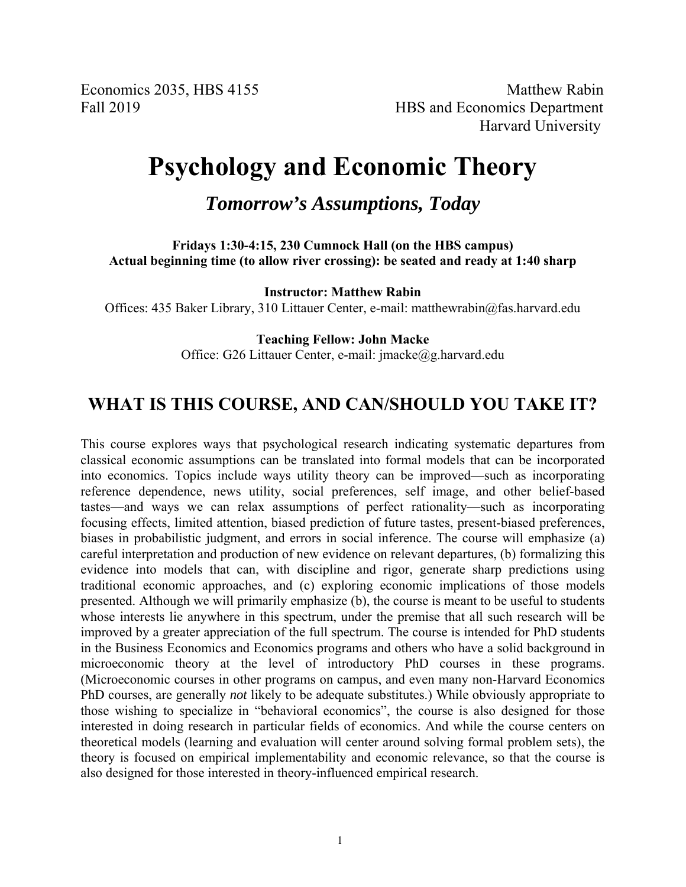Economics 2035, HBS 4155 Matthew Rabin Fall 2019 **HBS** and Economics Department Harvard University

# **Psychology and Economic Theory**

*Tomorrow's Assumptions, Today* 

**Fridays 1:30-4:15, 230 Cumnock Hall (on the HBS campus) Actual beginning time (to allow river crossing): be seated and ready at 1:40 sharp** 

**Instructor: Matthew Rabin** 

Offices: 435 Baker Library, 310 Littauer Center, e-mail: matthewrabin@fas.harvard.edu

**Teaching Fellow: John Macke** 

Office: G26 Littauer Center, e-mail: jmacke@g.harvard.edu

### **WHAT IS THIS COURSE, AND CAN/SHOULD YOU TAKE IT?**

This course explores ways that psychological research indicating systematic departures from classical economic assumptions can be translated into formal models that can be incorporated into economics. Topics include ways utility theory can be improved—such as incorporating reference dependence, news utility, social preferences, self image, and other belief-based tastes—and ways we can relax assumptions of perfect rationality—such as incorporating focusing effects, limited attention, biased prediction of future tastes, present-biased preferences, biases in probabilistic judgment, and errors in social inference. The course will emphasize (a) careful interpretation and production of new evidence on relevant departures, (b) formalizing this evidence into models that can, with discipline and rigor, generate sharp predictions using traditional economic approaches, and (c) exploring economic implications of those models presented. Although we will primarily emphasize (b), the course is meant to be useful to students whose interests lie anywhere in this spectrum, under the premise that all such research will be improved by a greater appreciation of the full spectrum. The course is intended for PhD students in the Business Economics and Economics programs and others who have a solid background in microeconomic theory at the level of introductory PhD courses in these programs. (Microeconomic courses in other programs on campus, and even many non-Harvard Economics PhD courses, are generally *not* likely to be adequate substitutes.) While obviously appropriate to those wishing to specialize in "behavioral economics", the course is also designed for those interested in doing research in particular fields of economics. And while the course centers on theoretical models (learning and evaluation will center around solving formal problem sets), the theory is focused on empirical implementability and economic relevance, so that the course is also designed for those interested in theory-influenced empirical research.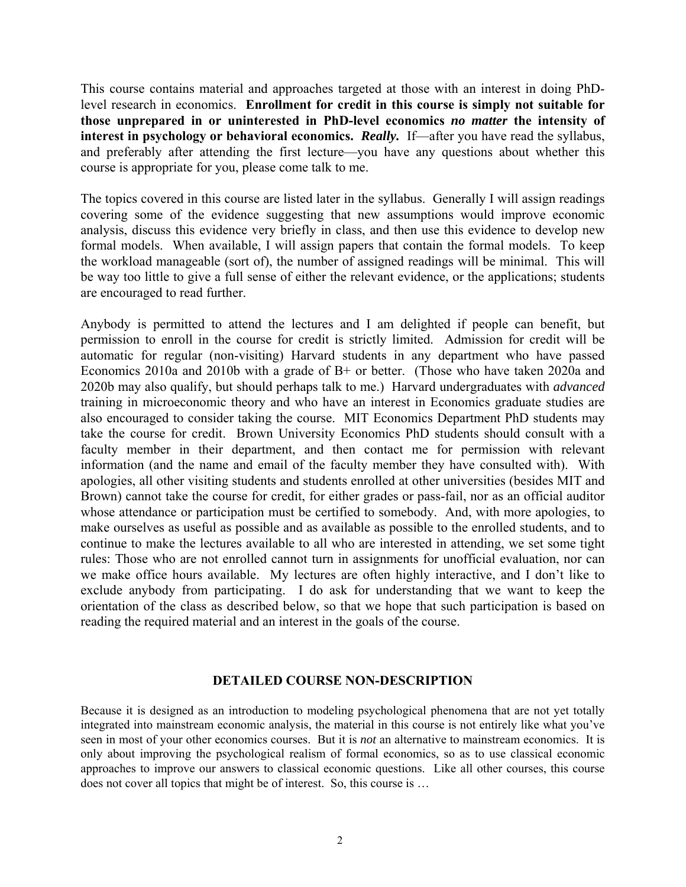This course contains material and approaches targeted at those with an interest in doing PhDlevel research in economics. **Enrollment for credit in this course is simply not suitable for those unprepared in or uninterested in PhD-level economics** *no matter* **the intensity of interest in psychology or behavioral economics.** *Really.*If—after you have read the syllabus, and preferably after attending the first lecture—you have any questions about whether this course is appropriate for you, please come talk to me.

The topics covered in this course are listed later in the syllabus. Generally I will assign readings covering some of the evidence suggesting that new assumptions would improve economic analysis, discuss this evidence very briefly in class, and then use this evidence to develop new formal models. When available, I will assign papers that contain the formal models. To keep the workload manageable (sort of), the number of assigned readings will be minimal. This will be way too little to give a full sense of either the relevant evidence, or the applications; students are encouraged to read further.

Anybody is permitted to attend the lectures and I am delighted if people can benefit, but permission to enroll in the course for credit is strictly limited. Admission for credit will be automatic for regular (non-visiting) Harvard students in any department who have passed Economics 2010a and 2010b with a grade of B+ or better. (Those who have taken 2020a and 2020b may also qualify, but should perhaps talk to me.) Harvard undergraduates with *advanced* training in microeconomic theory and who have an interest in Economics graduate studies are also encouraged to consider taking the course. MIT Economics Department PhD students may take the course for credit. Brown University Economics PhD students should consult with a faculty member in their department, and then contact me for permission with relevant information (and the name and email of the faculty member they have consulted with). With apologies, all other visiting students and students enrolled at other universities (besides MIT and Brown) cannot take the course for credit, for either grades or pass-fail, nor as an official auditor whose attendance or participation must be certified to somebody. And, with more apologies, to make ourselves as useful as possible and as available as possible to the enrolled students, and to continue to make the lectures available to all who are interested in attending, we set some tight rules: Those who are not enrolled cannot turn in assignments for unofficial evaluation, nor can we make office hours available. My lectures are often highly interactive, and I don't like to exclude anybody from participating. I do ask for understanding that we want to keep the orientation of the class as described below, so that we hope that such participation is based on reading the required material and an interest in the goals of the course.

#### **DETAILED COURSE NON-DESCRIPTION**

Because it is designed as an introduction to modeling psychological phenomena that are not yet totally integrated into mainstream economic analysis, the material in this course is not entirely like what you've seen in most of your other economics courses. But it is *not* an alternative to mainstream economics. It is only about improving the psychological realism of formal economics, so as to use classical economic approaches to improve our answers to classical economic questions. Like all other courses, this course does not cover all topics that might be of interest. So, this course is …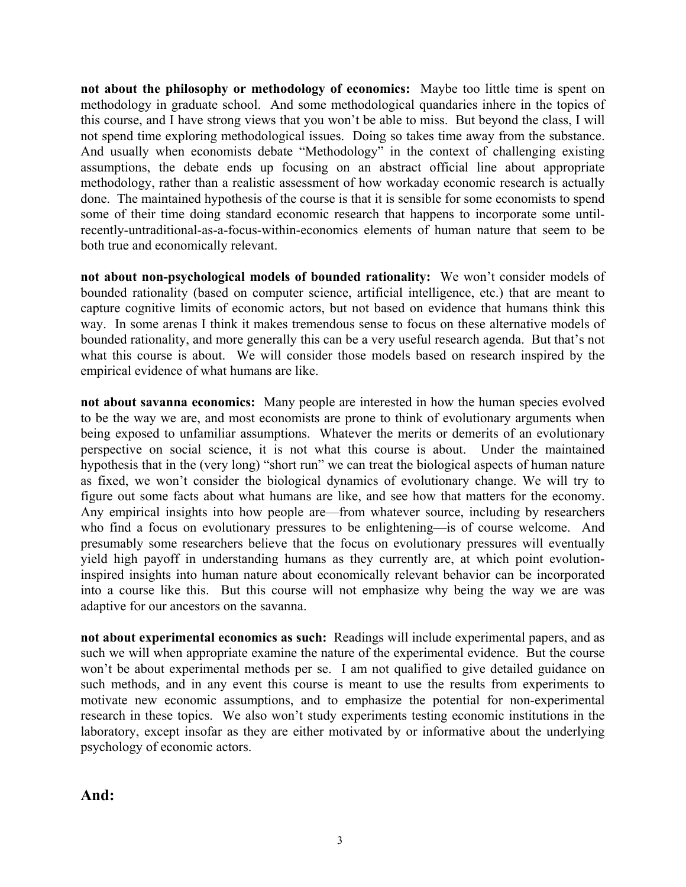**not about the philosophy or methodology of economics:** Maybe too little time is spent on methodology in graduate school. And some methodological quandaries inhere in the topics of this course, and I have strong views that you won't be able to miss. But beyond the class, I will not spend time exploring methodological issues. Doing so takes time away from the substance. And usually when economists debate "Methodology" in the context of challenging existing assumptions, the debate ends up focusing on an abstract official line about appropriate methodology, rather than a realistic assessment of how workaday economic research is actually done. The maintained hypothesis of the course is that it is sensible for some economists to spend some of their time doing standard economic research that happens to incorporate some untilrecently-untraditional-as-a-focus-within-economics elements of human nature that seem to be both true and economically relevant.

**not about non-psychological models of bounded rationality:** We won't consider models of bounded rationality (based on computer science, artificial intelligence, etc.) that are meant to capture cognitive limits of economic actors, but not based on evidence that humans think this way. In some arenas I think it makes tremendous sense to focus on these alternative models of bounded rationality, and more generally this can be a very useful research agenda. But that's not what this course is about. We will consider those models based on research inspired by the empirical evidence of what humans are like.

**not about savanna economics:** Many people are interested in how the human species evolved to be the way we are, and most economists are prone to think of evolutionary arguments when being exposed to unfamiliar assumptions. Whatever the merits or demerits of an evolutionary perspective on social science, it is not what this course is about. Under the maintained hypothesis that in the (very long) "short run" we can treat the biological aspects of human nature as fixed, we won't consider the biological dynamics of evolutionary change. We will try to figure out some facts about what humans are like, and see how that matters for the economy. Any empirical insights into how people are—from whatever source, including by researchers who find a focus on evolutionary pressures to be enlightening—is of course welcome. And presumably some researchers believe that the focus on evolutionary pressures will eventually yield high payoff in understanding humans as they currently are, at which point evolutioninspired insights into human nature about economically relevant behavior can be incorporated into a course like this. But this course will not emphasize why being the way we are was adaptive for our ancestors on the savanna.

**not about experimental economics as such:** Readings will include experimental papers, and as such we will when appropriate examine the nature of the experimental evidence. But the course won't be about experimental methods per se. I am not qualified to give detailed guidance on such methods, and in any event this course is meant to use the results from experiments to motivate new economic assumptions, and to emphasize the potential for non-experimental research in these topics. We also won't study experiments testing economic institutions in the laboratory, except insofar as they are either motivated by or informative about the underlying psychology of economic actors.

**And:**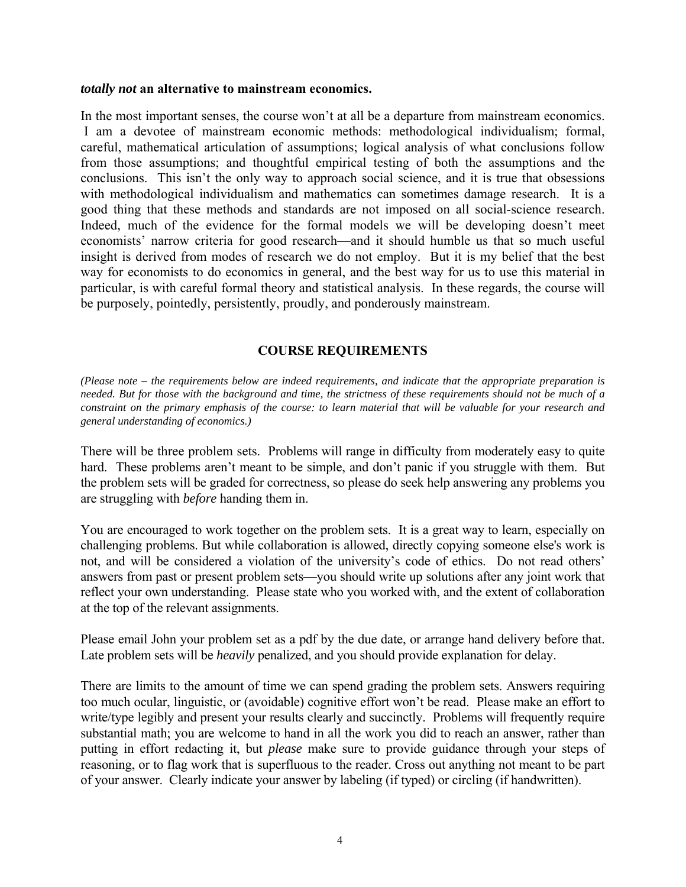#### *totally not* **an alternative to mainstream economics.**

In the most important senses, the course won't at all be a departure from mainstream economics. I am a devotee of mainstream economic methods: methodological individualism; formal, careful, mathematical articulation of assumptions; logical analysis of what conclusions follow from those assumptions; and thoughtful empirical testing of both the assumptions and the conclusions. This isn't the only way to approach social science, and it is true that obsessions with methodological individualism and mathematics can sometimes damage research. It is a good thing that these methods and standards are not imposed on all social-science research. Indeed, much of the evidence for the formal models we will be developing doesn't meet economists' narrow criteria for good research—and it should humble us that so much useful insight is derived from modes of research we do not employ. But it is my belief that the best way for economists to do economics in general, and the best way for us to use this material in particular, is with careful formal theory and statistical analysis. In these regards, the course will be purposely, pointedly, persistently, proudly, and ponderously mainstream.

#### **COURSE REQUIREMENTS**

*(Please note – the requirements below are indeed requirements, and indicate that the appropriate preparation is needed. But for those with the background and time, the strictness of these requirements should not be much of a constraint on the primary emphasis of the course: to learn material that will be valuable for your research and general understanding of economics.)* 

There will be three problem sets. Problems will range in difficulty from moderately easy to quite hard. These problems aren't meant to be simple, and don't panic if you struggle with them. But the problem sets will be graded for correctness, so please do seek help answering any problems you are struggling with *before* handing them in.

You are encouraged to work together on the problem sets. It is a great way to learn, especially on challenging problems. But while collaboration is allowed, directly copying someone else's work is not, and will be considered a violation of the university's code of ethics. Do not read others' answers from past or present problem sets—you should write up solutions after any joint work that reflect your own understanding. Please state who you worked with, and the extent of collaboration at the top of the relevant assignments.

Please email John your problem set as a pdf by the due date, or arrange hand delivery before that. Late problem sets will be *heavily* penalized, and you should provide explanation for delay.

There are limits to the amount of time we can spend grading the problem sets. Answers requiring too much ocular, linguistic, or (avoidable) cognitive effort won't be read. Please make an effort to write/type legibly and present your results clearly and succinctly. Problems will frequently require substantial math; you are welcome to hand in all the work you did to reach an answer, rather than putting in effort redacting it, but *please* make sure to provide guidance through your steps of reasoning, or to flag work that is superfluous to the reader. Cross out anything not meant to be part of your answer. Clearly indicate your answer by labeling (if typed) or circling (if handwritten).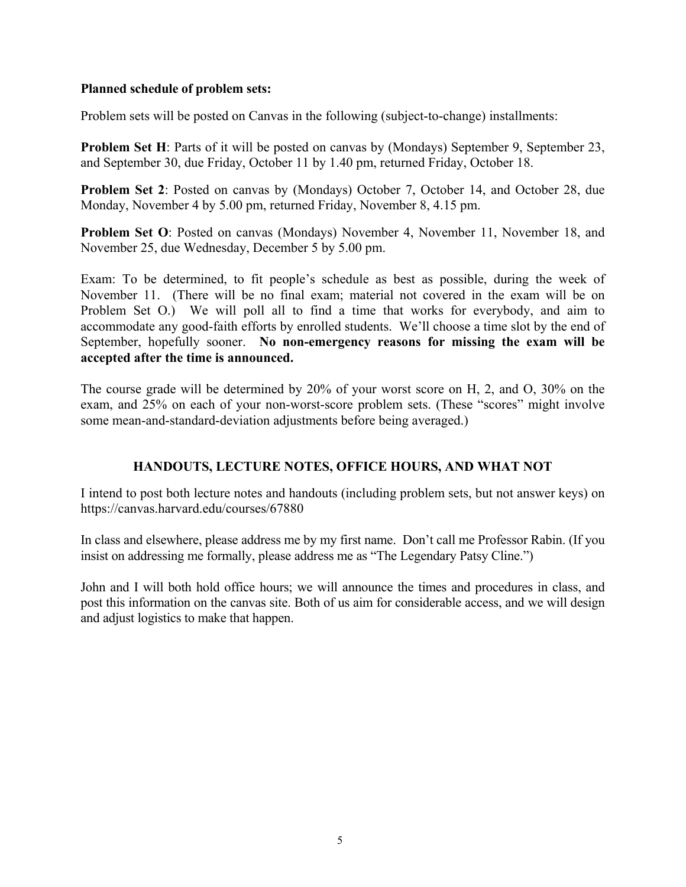#### **Planned schedule of problem sets:**

Problem sets will be posted on Canvas in the following (subject-to-change) installments:

**Problem Set H**: Parts of it will be posted on canvas by (Mondays) September 9, September 23, and September 30, due Friday, October 11 by 1.40 pm, returned Friday, October 18.

**Problem Set 2**: Posted on canvas by (Mondays) October 7, October 14, and October 28, due Monday, November 4 by 5.00 pm, returned Friday, November 8, 4.15 pm.

**Problem Set O**: Posted on canvas (Mondays) November 4, November 11, November 18, and November 25, due Wednesday, December 5 by 5.00 pm.

Exam: To be determined, to fit people's schedule as best as possible, during the week of November 11. (There will be no final exam; material not covered in the exam will be on Problem Set O.) We will poll all to find a time that works for everybody, and aim to accommodate any good-faith efforts by enrolled students. We'll choose a time slot by the end of September, hopefully sooner. **No non-emergency reasons for missing the exam will be accepted after the time is announced.**

The course grade will be determined by 20% of your worst score on H, 2, and O, 30% on the exam, and 25% on each of your non-worst-score problem sets. (These "scores" might involve some mean-and-standard-deviation adjustments before being averaged.)

#### **HANDOUTS, LECTURE NOTES, OFFICE HOURS, AND WHAT NOT**

I intend to post both lecture notes and handouts (including problem sets, but not answer keys) on https://canvas.harvard.edu/courses/67880

In class and elsewhere, please address me by my first name. Don't call me Professor Rabin. (If you insist on addressing me formally, please address me as "The Legendary Patsy Cline.")

John and I will both hold office hours; we will announce the times and procedures in class, and post this information on the canvas site. Both of us aim for considerable access, and we will design and adjust logistics to make that happen.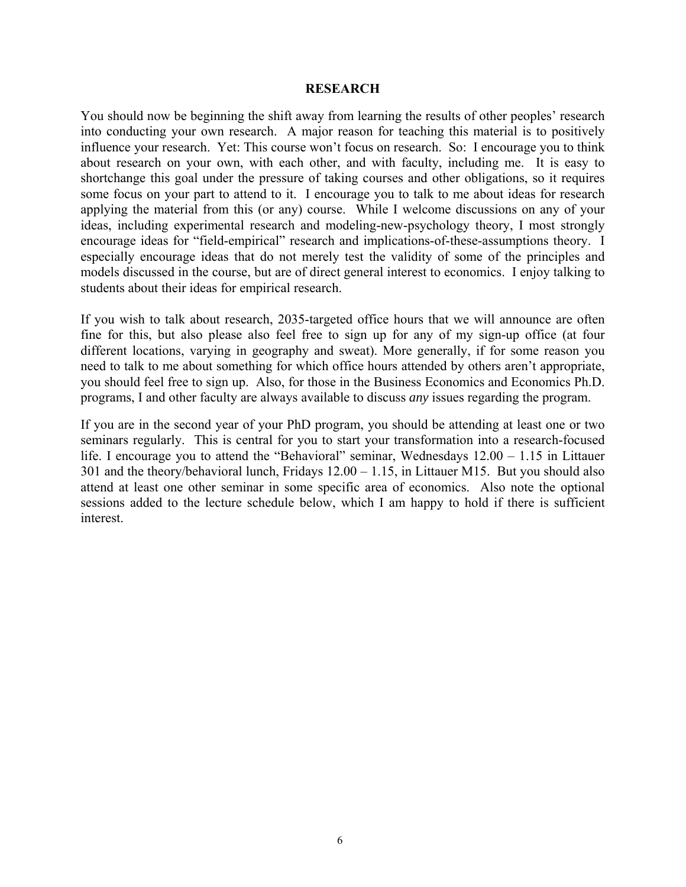#### **RESEARCH**

You should now be beginning the shift away from learning the results of other peoples' research into conducting your own research. A major reason for teaching this material is to positively influence your research. Yet: This course won't focus on research. So: I encourage you to think about research on your own, with each other, and with faculty, including me. It is easy to shortchange this goal under the pressure of taking courses and other obligations, so it requires some focus on your part to attend to it. I encourage you to talk to me about ideas for research applying the material from this (or any) course. While I welcome discussions on any of your ideas, including experimental research and modeling-new-psychology theory, I most strongly encourage ideas for "field-empirical" research and implications-of-these-assumptions theory. I especially encourage ideas that do not merely test the validity of some of the principles and models discussed in the course, but are of direct general interest to economics. I enjoy talking to students about their ideas for empirical research.

If you wish to talk about research, 2035-targeted office hours that we will announce are often fine for this, but also please also feel free to sign up for any of my sign-up office (at four different locations, varying in geography and sweat). More generally, if for some reason you need to talk to me about something for which office hours attended by others aren't appropriate, you should feel free to sign up. Also, for those in the Business Economics and Economics Ph.D. programs, I and other faculty are always available to discuss *any* issues regarding the program.

If you are in the second year of your PhD program, you should be attending at least one or two seminars regularly. This is central for you to start your transformation into a research-focused life. I encourage you to attend the "Behavioral" seminar, Wednesdays 12.00 – 1.15 in Littauer 301 and the theory/behavioral lunch, Fridays 12.00 – 1.15, in Littauer M15. But you should also attend at least one other seminar in some specific area of economics. Also note the optional sessions added to the lecture schedule below, which I am happy to hold if there is sufficient interest.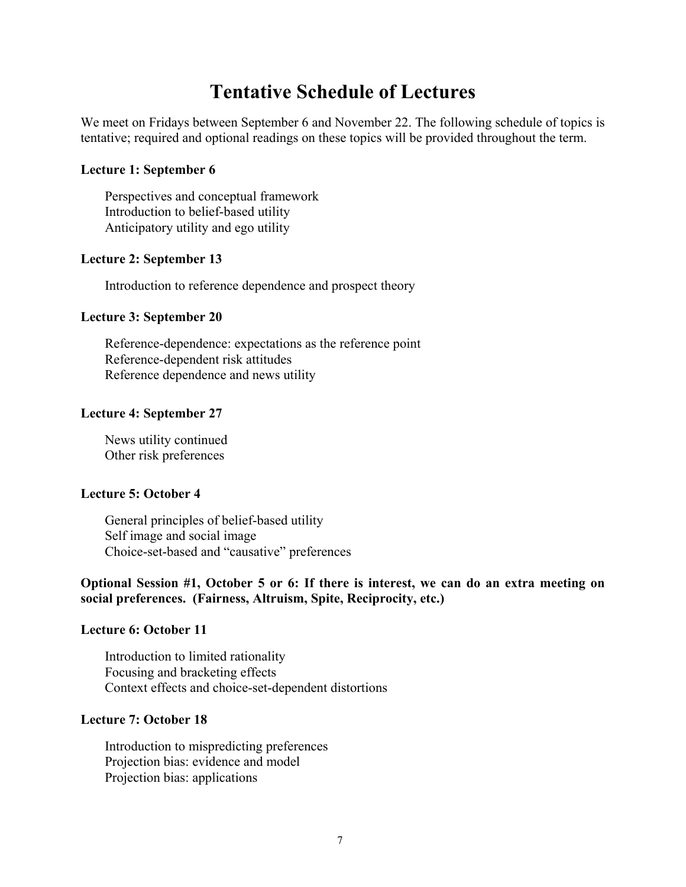## **Tentative Schedule of Lectures**

We meet on Fridays between September 6 and November 22. The following schedule of topics is tentative; required and optional readings on these topics will be provided throughout the term.

#### **Lecture 1: September 6**

Perspectives and conceptual framework Introduction to belief-based utility Anticipatory utility and ego utility

#### **Lecture 2: September 13**

Introduction to reference dependence and prospect theory

#### **Lecture 3: September 20**

Reference-dependence: expectations as the reference point Reference-dependent risk attitudes Reference dependence and news utility

#### **Lecture 4: September 27**

News utility continued Other risk preferences

#### **Lecture 5: October 4**

General principles of belief-based utility Self image and social image Choice-set-based and "causative" preferences

#### **Optional Session #1, October 5 or 6: If there is interest, we can do an extra meeting on social preferences. (Fairness, Altruism, Spite, Reciprocity, etc.)**

#### **Lecture 6: October 11**

Introduction to limited rationality Focusing and bracketing effects Context effects and choice-set-dependent distortions

#### **Lecture 7: October 18**

Introduction to mispredicting preferences Projection bias: evidence and model Projection bias: applications